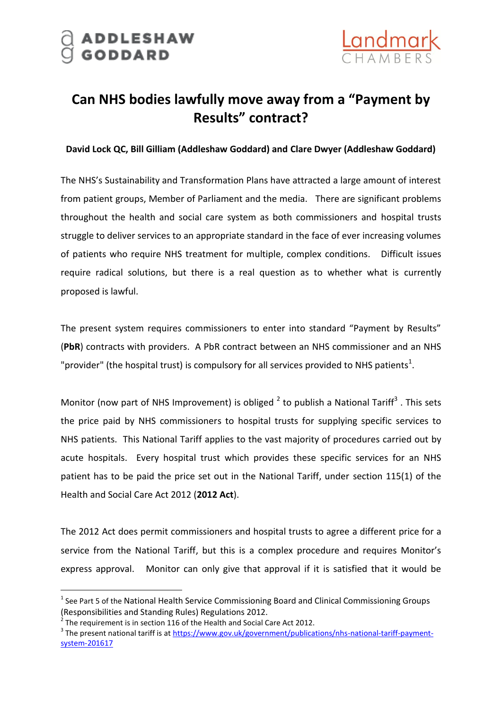

## **Can NHS bodies lawfully move away from a "Payment by Results" contract?**

## **David Lock QC, Bill Gilliam (Addleshaw Goddard) and Clare Dwyer (Addleshaw Goddard)**

The NHS's Sustainability and Transformation Plans have attracted a large amount of interest from patient groups, Member of Parliament and the media. There are significant problems throughout the health and social care system as both commissioners and hospital trusts struggle to deliver services to an appropriate standard in the face of ever increasing volumes of patients who require NHS treatment for multiple, complex conditions. Difficult issues require radical solutions, but there is a real question as to whether what is currently proposed is lawful.

The present system requires commissioners to enter into standard "Payment by Results" (**PbR**) contracts with providers. A PbR contract between an NHS commissioner and an NHS "provider" (the hospital trust) is compulsory for all services provided to NHS patients<sup>1</sup>.

Monitor (now part of NHS Improvement) is obliged  $^2$  to publish a National Tariff<sup>3</sup>. This sets the price paid by NHS commissioners to hospital trusts for supplying specific services to NHS patients. This National Tariff applies to the vast majority of procedures carried out by acute hospitals. Every hospital trust which provides these specific services for an NHS patient has to be paid the price set out in the National Tariff, under section 115(1) of the Health and Social Care Act 2012 (**2012 Act**).

The 2012 Act does permit commissioners and hospital trusts to agree a different price for a service from the National Tariff, but this is a complex procedure and requires Monitor's express approval. Monitor can only give that approval if it is satisfied that it would be

-

<sup>&</sup>lt;sup>1</sup> See Part 5 of the National Health Service Commissioning Board and Clinical Commissioning Groups (Responsibilities and Standing Rules) Regulations 2012.

<sup>2</sup> The requirement is in section 116 of the Health and Social Care Act 2012.

<sup>&</sup>lt;sup>3</sup> The present national tariff is at [https://www.gov.uk/government/publications/nhs-national-tariff-payment](https://www.gov.uk/government/publications/nhs-national-tariff-payment-system-201617)[system-201617](https://www.gov.uk/government/publications/nhs-national-tariff-payment-system-201617)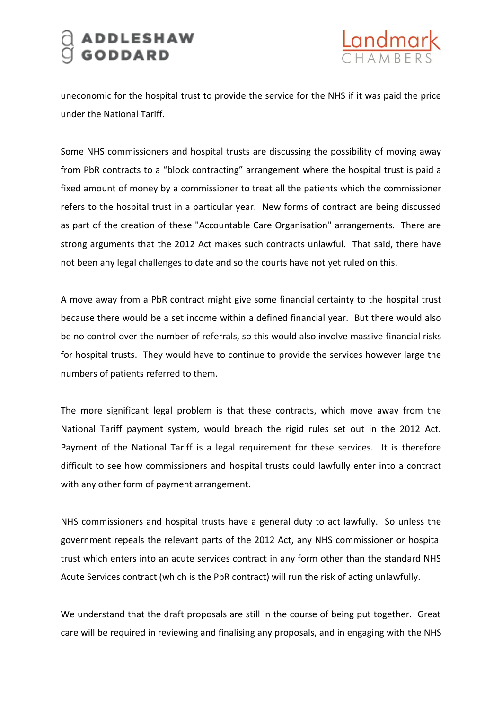## ADDLESHAW<br>GODDARD



uneconomic for the hospital trust to provide the service for the NHS if it was paid the price under the National Tariff.

Some NHS commissioners and hospital trusts are discussing the possibility of moving away from PbR contracts to a "block contracting" arrangement where the hospital trust is paid a fixed amount of money by a commissioner to treat all the patients which the commissioner refers to the hospital trust in a particular year. New forms of contract are being discussed as part of the creation of these "Accountable Care Organisation" arrangements. There are strong arguments that the 2012 Act makes such contracts unlawful. That said, there have not been any legal challenges to date and so the courts have not yet ruled on this.

A move away from a PbR contract might give some financial certainty to the hospital trust because there would be a set income within a defined financial year. But there would also be no control over the number of referrals, so this would also involve massive financial risks for hospital trusts. They would have to continue to provide the services however large the numbers of patients referred to them.

The more significant legal problem is that these contracts, which move away from the National Tariff payment system, would breach the rigid rules set out in the 2012 Act. Payment of the National Tariff is a legal requirement for these services. It is therefore difficult to see how commissioners and hospital trusts could lawfully enter into a contract with any other form of payment arrangement.

NHS commissioners and hospital trusts have a general duty to act lawfully. So unless the government repeals the relevant parts of the 2012 Act, any NHS commissioner or hospital trust which enters into an acute services contract in any form other than the standard NHS Acute Services contract (which is the PbR contract) will run the risk of acting unlawfully.

We understand that the draft proposals are still in the course of being put together. Great care will be required in reviewing and finalising any proposals, and in engaging with the NHS